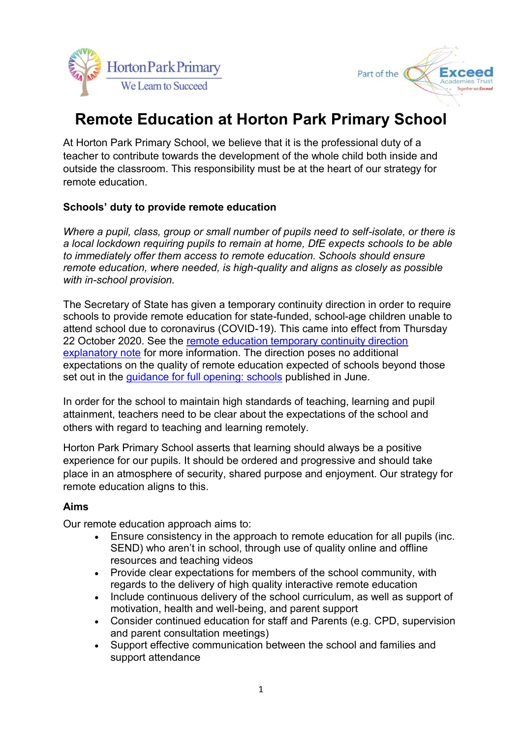



# **Remote Education at Horton Park Primary School**

At Horton Park Primary School, we believe that it is the professional duty of a teacher to contribute towards the development of the whole child both inside and outside the classroom. This responsibility must be at the heart of our strategy for remote education.

#### **Schools' duty to provide remote education**

*Where a pupil, class, group or small number of pupils need to self-isolate, or there is a local lockdown requiring pupils to remain at home, DfE expects schools to be able to immediately offer them access to remote education. Schools should ensure remote education, where needed, is high-quality and aligns as closely as possible with in-school provision.* 

The Secretary of State has given a temporary continuity direction in order to require schools to provide remote education for state-funded, school-age children unable to attend school due to coronavirus (COVID-19). This came into effect from Thursday 22 October 2020. See the [remote education temporary continuity direction](https://www.gov.uk/government/publications/remote-education-temporary-continuity-direction-explanatory-note)  [explanatory note](https://www.gov.uk/government/publications/remote-education-temporary-continuity-direction-explanatory-note) for more information. The direction poses no additional expectations on the quality of remote education expected of schools beyond those set out in the [guidance for full opening: schools](https://www.gov.uk/government/publications/actions-for-schools-during-the-coronavirus-outbreak/guidance-for-full-opening-schools) published in June.

In order for the school to maintain high standards of teaching, learning and pupil attainment, teachers need to be clear about the expectations of the school and others with regard to teaching and learning remotely.

Horton Park Primary School asserts that learning should always be a positive experience for our pupils. It should be ordered and progressive and should take place in an atmosphere of security, shared purpose and enjoyment. Our strategy for remote education aligns to this.

### **Aims**

Our remote education approach aims to:

- Ensure consistency in the approach to remote education for all pupils (inc. SEND) who aren't in school, through use of quality online and offline resources and teaching videos
- Provide clear expectations for members of the school community, with regards to the delivery of high quality interactive remote education
- Include continuous delivery of the school curriculum, as well as support of motivation, health and well-being, and parent support
- Consider continued education for staff and Parents (e.g. CPD, supervision and parent consultation meetings)
- Support effective communication between the school and families and support attendance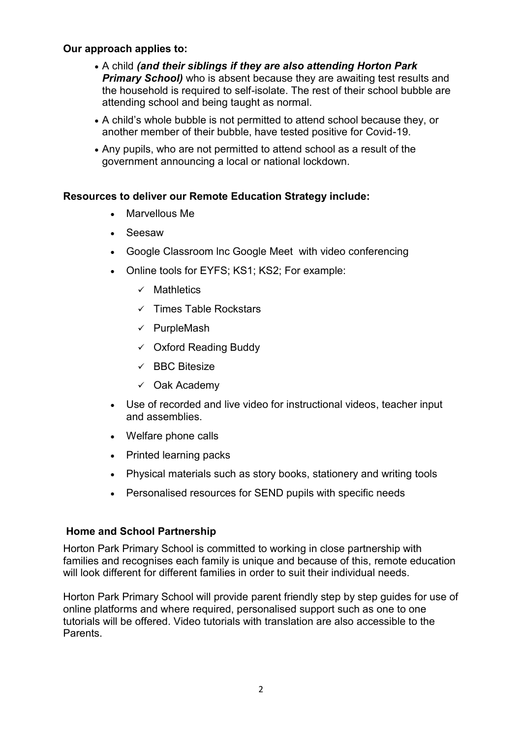#### **Our approach applies to:**

- A child *(and their siblings if they are also attending Horton Park*  **Primary School)** who is absent because they are awaiting test results and the household is required to self-isolate. The rest of their school bubble are attending school and being taught as normal.
- A child's whole bubble is not permitted to attend school because they, or another member of their bubble, have tested positive for Covid-19.
- Any pupils, who are not permitted to attend school as a result of the government announcing a local or national lockdown.

#### **Resources to deliver our Remote Education Strategy include:**

- Marvellous Me
- Seesaw
- Google Classroom lnc Google Meet with video conferencing
- Online tools for EYFS; KS1; KS2; For example:
	- $\checkmark$  Mathletics
	- $\checkmark$  Times Table Rockstars
	- $\checkmark$  PurpleMash
	- $\checkmark$  Oxford Reading Buddy
	- $\checkmark$  BBC Bitesize
	- $\checkmark$  Oak Academy
- Use of recorded and live video for instructional videos, teacher input and assemblies.
- Welfare phone calls
- Printed learning packs
- Physical materials such as story books, stationery and writing tools
- Personalised resources for SEND pupils with specific needs

### **Home and School Partnership**

Horton Park Primary School is committed to working in close partnership with families and recognises each family is unique and because of this, remote education will look different for different families in order to suit their individual needs.

Horton Park Primary School will provide parent friendly step by step guides for use of online platforms and where required, personalised support such as one to one tutorials will be offered. Video tutorials with translation are also accessible to the Parents.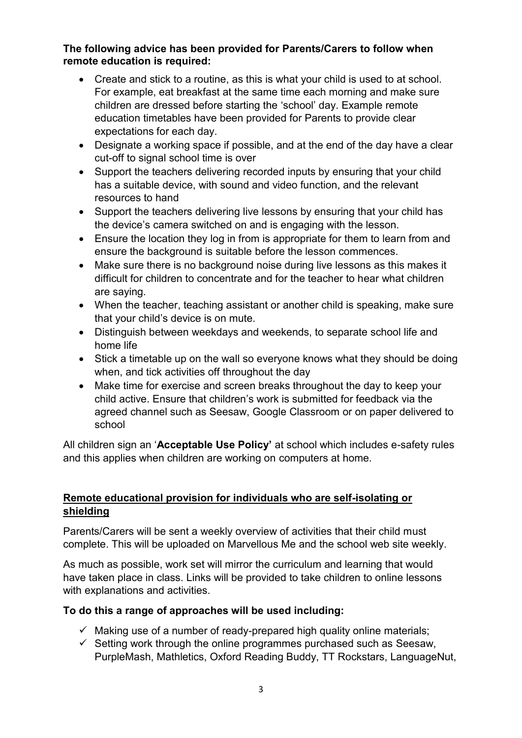#### **The following advice has been provided for Parents/Carers to follow when remote education is required:**

- Create and stick to a routine, as this is what your child is used to at school. For example, eat breakfast at the same time each morning and make sure children are dressed before starting the 'school' day. Example remote education timetables have been provided for Parents to provide clear expectations for each day.
- Designate a working space if possible, and at the end of the day have a clear cut-off to signal school time is over
- Support the teachers delivering recorded inputs by ensuring that your child has a suitable device, with sound and video function, and the relevant resources to hand
- Support the teachers delivering live lessons by ensuring that your child has the device's camera switched on and is engaging with the lesson.
- Ensure the location they log in from is appropriate for them to learn from and ensure the background is suitable before the lesson commences.
- Make sure there is no background noise during live lessons as this makes it difficult for children to concentrate and for the teacher to hear what children are saying.
- When the teacher, teaching assistant or another child is speaking, make sure that your child's device is on mute.
- Distinguish between weekdays and weekends, to separate school life and home life
- Stick a timetable up on the wall so everyone knows what they should be doing when, and tick activities off throughout the day
- Make time for exercise and screen breaks throughout the day to keep your child active. Ensure that children's work is submitted for feedback via the agreed channel such as Seesaw, Google Classroom or on paper delivered to school

All children sign an '**Acceptable Use Policy'** at school which includes e-safety rules and this applies when children are working on computers at home.

### **Remote educational provision for individuals who are self-isolating or shielding**

Parents/Carers will be sent a weekly overview of activities that their child must complete. This will be uploaded on Marvellous Me and the school web site weekly.

As much as possible, work set will mirror the curriculum and learning that would have taken place in class. Links will be provided to take children to online lessons with explanations and activities.

### **To do this a range of approaches will be used including:**

- $\checkmark$  Making use of a number of ready-prepared high quality online materials;
- $\checkmark$  Setting work through the online programmes purchased such as Seesaw, PurpleMash, Mathletics, Oxford Reading Buddy, TT Rockstars, LanguageNut,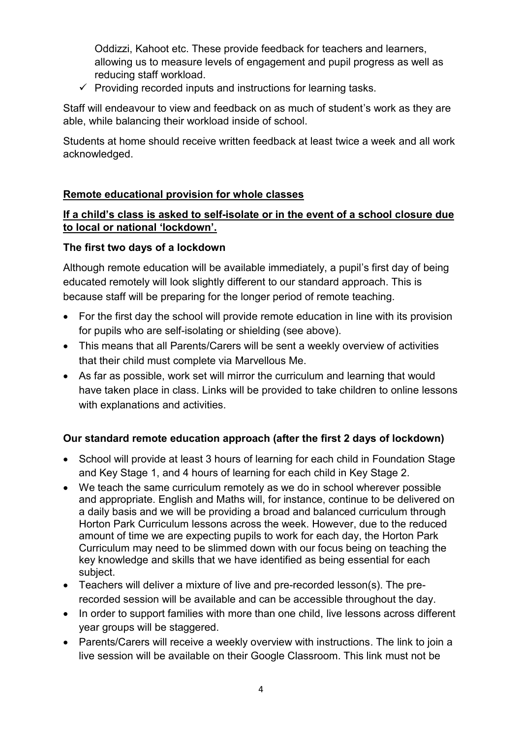Oddizzi, Kahoot etc. These provide feedback for teachers and learners, allowing us to measure levels of engagement and pupil progress as well as reducing staff workload.

 $\checkmark$  Providing recorded inputs and instructions for learning tasks.

Staff will endeavour to view and feedback on as much of student's work as they are able, while balancing their workload inside of school.

Students at home should receive written feedback at least twice a week and all work acknowledged.

### **Remote educational provision for whole classes**

#### **If a child's class is asked to self-isolate or in the event of a school closure due to local or national 'lockdown'.**

#### **The first two days of a lockdown**

Although remote education will be available immediately, a pupil's first day of being educated remotely will look slightly different to our standard approach. This is because staff will be preparing for the longer period of remote teaching.

- For the first day the school will provide remote education in line with its provision for pupils who are self-isolating or shielding (see above).
- This means that all Parents/Carers will be sent a weekly overview of activities that their child must complete via Marvellous Me.
- As far as possible, work set will mirror the curriculum and learning that would have taken place in class. Links will be provided to take children to online lessons with explanations and activities.

### **Our standard remote education approach (after the first 2 days of lockdown)**

- School will provide at least 3 hours of learning for each child in Foundation Stage and Key Stage 1, and 4 hours of learning for each child in Key Stage 2.
- We teach the same curriculum remotely as we do in school wherever possible and appropriate. English and Maths will, for instance, continue to be delivered on a daily basis and we will be providing a broad and balanced curriculum through Horton Park Curriculum lessons across the week. However, due to the reduced amount of time we are expecting pupils to work for each day, the Horton Park Curriculum may need to be slimmed down with our focus being on teaching the key knowledge and skills that we have identified as being essential for each subject.
- Teachers will deliver a mixture of live and pre-recorded lesson(s). The prerecorded session will be available and can be accessible throughout the day.
- In order to support families with more than one child, live lessons across different year groups will be staggered.
- Parents/Carers will receive a weekly overview with instructions. The link to join a live session will be available on their Google Classroom. This link must not be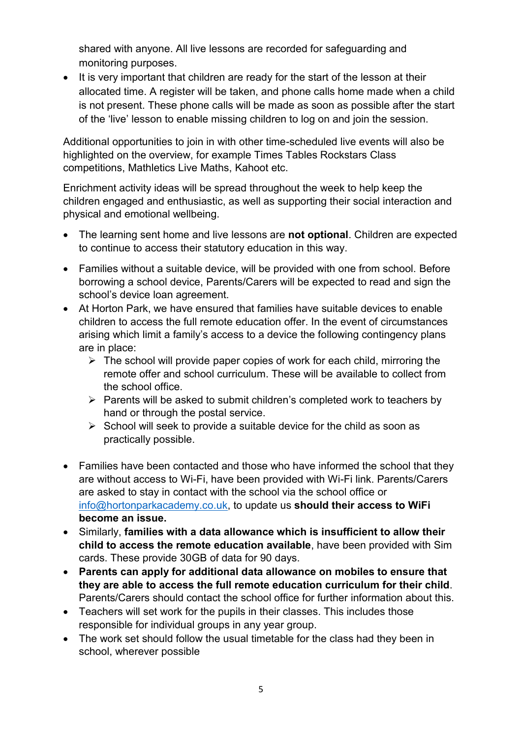shared with anyone. All live lessons are recorded for safeguarding and monitoring purposes.

• It is very important that children are ready for the start of the lesson at their allocated time. A register will be taken, and phone calls home made when a child is not present. These phone calls will be made as soon as possible after the start of the 'live' lesson to enable missing children to log on and join the session.

Additional opportunities to join in with other time-scheduled live events will also be highlighted on the overview, for example Times Tables Rockstars Class competitions, Mathletics Live Maths, Kahoot etc.

Enrichment activity ideas will be spread throughout the week to help keep the children engaged and enthusiastic, as well as supporting their social interaction and physical and emotional wellbeing.

- The learning sent home and live lessons are **not optional**. Children are expected to continue to access their statutory education in this way.
- Families without a suitable device, will be provided with one from school. Before borrowing a school device, Parents/Carers will be expected to read and sign the school's device loan agreement.
- At Horton Park, we have ensured that families have suitable devices to enable children to access the full remote education offer. In the event of circumstances arising which limit a family's access to a device the following contingency plans are in place:
	- $\triangleright$  The school will provide paper copies of work for each child, mirroring the remote offer and school curriculum. These will be available to collect from the school office.
	- $\triangleright$  Parents will be asked to submit children's completed work to teachers by hand or through the postal service.
	- $\triangleright$  School will seek to provide a suitable device for the child as soon as practically possible.
- Families have been contacted and those who have informed the school that they are without access to Wi-Fi, have been provided with Wi-Fi link. Parents/Carers are asked to stay in contact with the school via the school office or [info@hortonparkacademy.co.uk,](mailto:info@hortonparkacademy.co.uk) to update us **should their access to WiFi become an issue.**
- Similarly, **families with a data allowance which is insufficient to allow their child to access the remote education available**, have been provided with Sim cards. These provide 30GB of data for 90 days.
- **Parents can apply for additional data allowance on mobiles to ensure that they are able to access the full remote education curriculum for their child**. Parents/Carers should contact the school office for further information about this.
- Teachers will set work for the pupils in their classes. This includes those responsible for individual groups in any year group.
- The work set should follow the usual timetable for the class had they been in school, wherever possible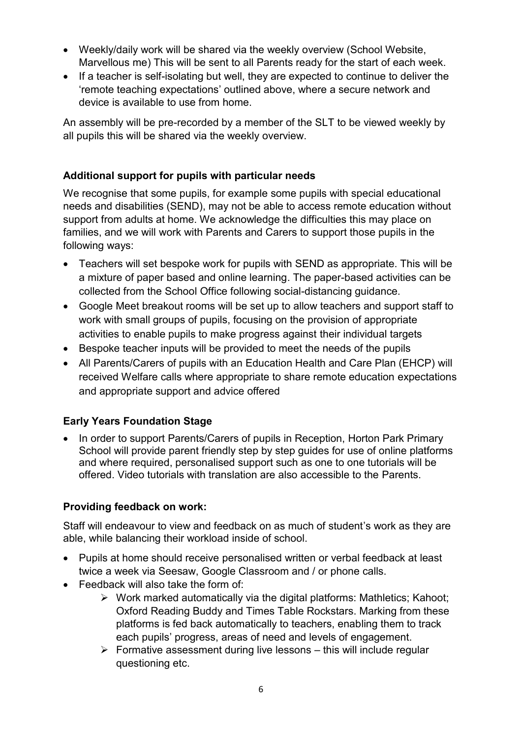- Weekly/daily work will be shared via the weekly overview (School Website, Marvellous me) This will be sent to all Parents ready for the start of each week.
- If a teacher is self-isolating but well, they are expected to continue to deliver the 'remote teaching expectations' outlined above, where a secure network and device is available to use from home.

An assembly will be pre-recorded by a member of the SLT to be viewed weekly by all pupils this will be shared via the weekly overview.

# **Additional support for pupils with particular needs**

We recognise that some pupils, for example some pupils with special educational needs and disabilities (SEND), may not be able to access remote education without support from adults at home. We acknowledge the difficulties this may place on families, and we will work with Parents and Carers to support those pupils in the following ways:

- Teachers will set bespoke work for pupils with SEND as appropriate. This will be a mixture of paper based and online learning. The paper-based activities can be collected from the School Office following social-distancing guidance.
- Google Meet breakout rooms will be set up to allow teachers and support staff to work with small groups of pupils, focusing on the provision of appropriate activities to enable pupils to make progress against their individual targets
- Bespoke teacher inputs will be provided to meet the needs of the pupils
- All Parents/Carers of pupils with an Education Health and Care Plan (EHCP) will received Welfare calls where appropriate to share remote education expectations and appropriate support and advice offered

# **Early Years Foundation Stage**

• In order to support Parents/Carers of pupils in Reception, Horton Park Primary School will provide parent friendly step by step guides for use of online platforms and where required, personalised support such as one to one tutorials will be offered. Video tutorials with translation are also accessible to the Parents.

### **Providing feedback on work:**

Staff will endeavour to view and feedback on as much of student's work as they are able, while balancing their workload inside of school.

- Pupils at home should receive personalised written or verbal feedback at least twice a week via Seesaw, Google Classroom and / or phone calls.
- Feedback will also take the form of:
	- $\triangleright$  Work marked automatically via the digital platforms: Mathletics; Kahoot; Oxford Reading Buddy and Times Table Rockstars. Marking from these platforms is fed back automatically to teachers, enabling them to track each pupils' progress, areas of need and levels of engagement.
	- $\triangleright$  Formative assessment during live lessons this will include regular questioning etc.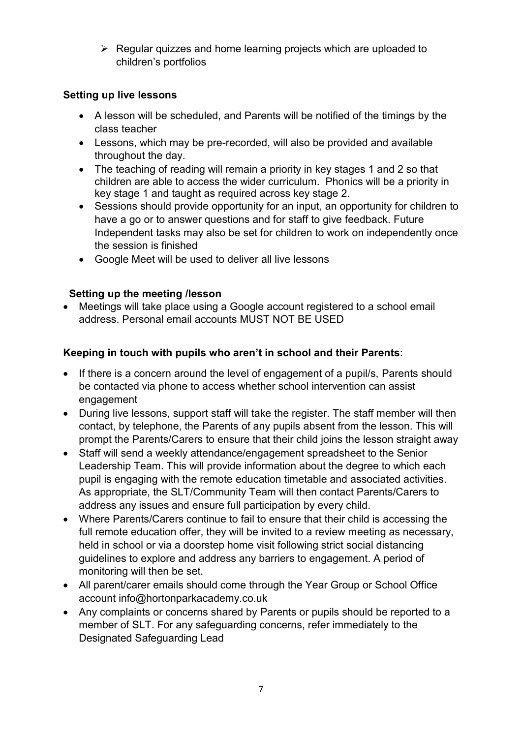$\triangleright$  Regular quizzes and home learning projects which are uploaded to children's portfolios

# **Setting up live lessons**

- A lesson will be scheduled, and Parents will be notified of the timings by the class teacher
- Lessons, which may be pre-recorded, will also be provided and available throughout the day.
- The teaching of reading will remain a priority in key stages 1 and 2 so that children are able to access the wider curriculum. Phonics will be a priority in key stage 1 and taught as required across key stage 2.
- Sessions should provide opportunity for an input, an opportunity for children to have a go or to answer questions and for staff to give feedback. Future Independent tasks may also be set for children to work on independently once the session is finished
- Google Meet will be used to deliver all live lessons

# **Setting up the meeting /lesson**

 Meetings will take place using a Google account registered to a school email address. Personal email accounts MUST NOT BE USED

# **Keeping in touch with pupils who aren't in school and their Parents**:

- If there is a concern around the level of engagement of a pupil/s, Parents should be contacted via phone to access whether school intervention can assist engagement
- During live lessons, support staff will take the register. The staff member will then contact, by telephone, the Parents of any pupils absent from the lesson. This will prompt the Parents/Carers to ensure that their child joins the lesson straight away
- Staff will send a weekly attendance/engagement spreadsheet to the Senior Leadership Team. This will provide information about the degree to which each pupil is engaging with the remote education timetable and associated activities. As appropriate, the SLT/Community Team will then contact Parents/Carers to address any issues and ensure full participation by every child.
- Where Parents/Carers continue to fail to ensure that their child is accessing the full remote education offer, they will be invited to a review meeting as necessary, held in school or via a doorstep home visit following strict social distancing guidelines to explore and address any barriers to engagement. A period of monitoring will then be set.
- All parent/carer emails should come through the Year Group or School Office account info@hortonparkacademy.co.uk
- Any complaints or concerns shared by Parents or pupils should be reported to a member of SLT. For any safeguarding concerns, refer immediately to the Designated Safeguarding Lead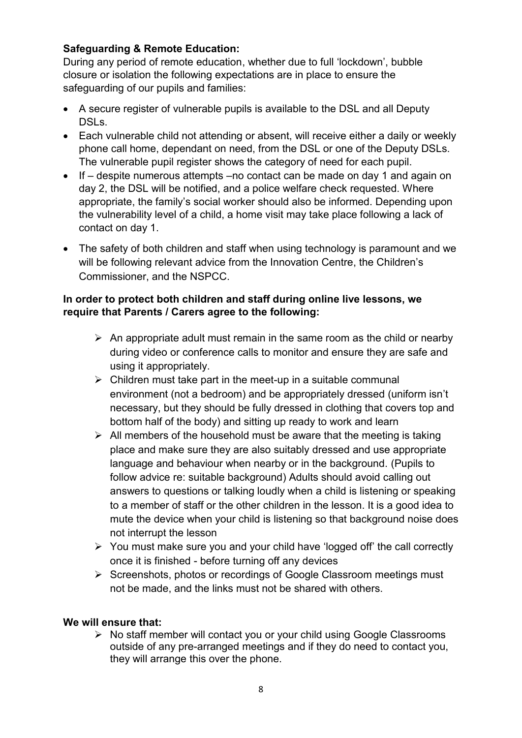# **Safeguarding & Remote Education:**

During any period of remote education, whether due to full 'lockdown', bubble closure or isolation the following expectations are in place to ensure the safeguarding of our pupils and families:

- A secure register of vulnerable pupils is available to the DSL and all Deputy DSLs.
- Each vulnerable child not attending or absent, will receive either a daily or weekly phone call home, dependant on need, from the DSL or one of the Deputy DSLs. The vulnerable pupil register shows the category of need for each pupil.
- If despite numerous attempts –no contact can be made on day 1 and again on day 2, the DSL will be notified, and a police welfare check requested. Where appropriate, the family's social worker should also be informed. Depending upon the vulnerability level of a child, a home visit may take place following a lack of contact on day 1.
- The safety of both children and staff when using technology is paramount and we will be following relevant advice from the Innovation Centre, the Children's Commissioner, and the NSPCC.

#### **In order to protect both children and staff during online live lessons, we require that Parents / Carers agree to the following:**

- $\triangleright$  An appropriate adult must remain in the same room as the child or nearby during video or conference calls to monitor and ensure they are safe and using it appropriately.
- $\triangleright$  Children must take part in the meet-up in a suitable communal environment (not a bedroom) and be appropriately dressed (uniform isn't necessary, but they should be fully dressed in clothing that covers top and bottom half of the body) and sitting up ready to work and learn
- $\triangleright$  All members of the household must be aware that the meeting is taking place and make sure they are also suitably dressed and use appropriate language and behaviour when nearby or in the background. (Pupils to follow advice re: suitable background) Adults should avoid calling out answers to questions or talking loudly when a child is listening or speaking to a member of staff or the other children in the lesson. It is a good idea to mute the device when your child is listening so that background noise does not interrupt the lesson
- $\triangleright$  You must make sure you and your child have 'logged off' the call correctly once it is finished - before turning off any devices
- $\triangleright$  Screenshots, photos or recordings of Google Classroom meetings must not be made, and the links must not be shared with others.

### **We will ensure that:**

 $\triangleright$  No staff member will contact you or your child using Google Classrooms outside of any pre-arranged meetings and if they do need to contact you, they will arrange this over the phone.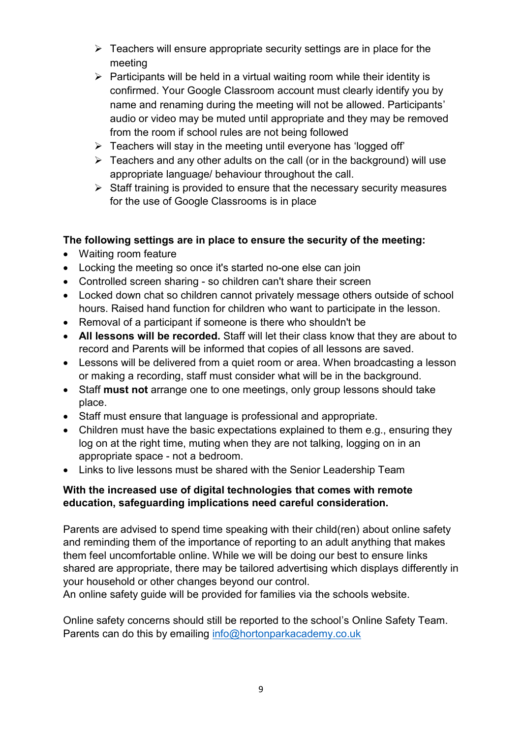- $\triangleright$  Teachers will ensure appropriate security settings are in place for the meeting
- $\triangleright$  Participants will be held in a virtual waiting room while their identity is confirmed. Your Google Classroom account must clearly identify you by name and renaming during the meeting will not be allowed. Participants' audio or video may be muted until appropriate and they may be removed from the room if school rules are not being followed
- $\triangleright$  Teachers will stay in the meeting until everyone has 'logged off'
- $\triangleright$  Teachers and any other adults on the call (or in the background) will use appropriate language/ behaviour throughout the call.
- $\triangleright$  Staff training is provided to ensure that the necessary security measures for the use of Google Classrooms is in place

# **The following settings are in place to ensure the security of the meeting:**

- Waiting room feature
- Locking the meeting so once it's started no-one else can join
- Controlled screen sharing so children can't share their screen
- Locked down chat so children cannot privately message others outside of school hours. Raised hand function for children who want to participate in the lesson.
- Removal of a participant if someone is there who shouldn't be
- **All lessons will be recorded.** Staff will let their class know that they are about to record and Parents will be informed that copies of all lessons are saved.
- Lessons will be delivered from a quiet room or area. When broadcasting a lesson or making a recording, staff must consider what will be in the background.
- Staff **must not** arrange one to one meetings, only group lessons should take place.
- Staff must ensure that language is professional and appropriate.
- Children must have the basic expectations explained to them e.g., ensuring they log on at the right time, muting when they are not talking, logging on in an appropriate space - not a bedroom.
- Links to live lessons must be shared with the Senior Leadership Team

# **With the increased use of digital technologies that comes with remote education, safeguarding implications need careful consideration.**

Parents are advised to spend time speaking with their child(ren) about online safety and reminding them of the importance of reporting to an adult anything that makes them feel uncomfortable online. While we will be doing our best to ensure links shared are appropriate, there may be tailored advertising which displays differently in your household or other changes beyond our control.

An online safety guide will be provided for families via the schools website.

Online safety concerns should still be reported to the school's Online Safety Team. Parents can do this by emailing [info@hortonparkacademy.co.uk](mailto:info@hortonparkacademy.co.uk)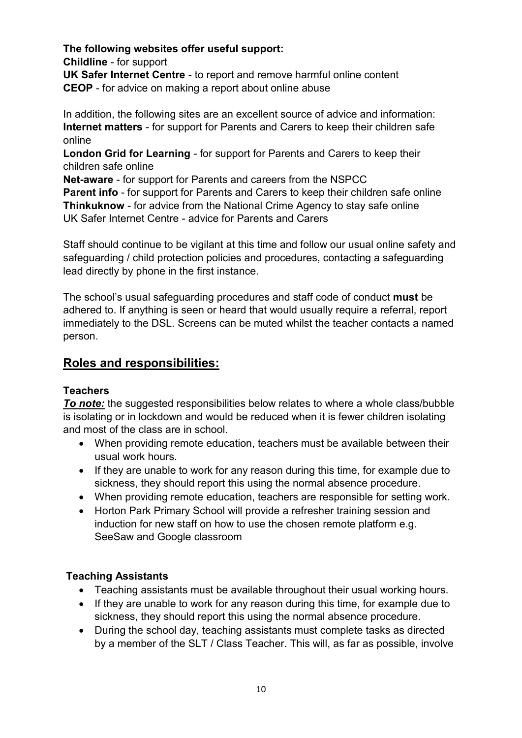**The following websites offer useful support: Childline** - for support

**UK Safer Internet Centre** - to report and remove harmful online content **CEOP** - for advice on making a report about online abuse

In addition, the following sites are an excellent source of advice and information: **Internet matters** - for support for Parents and Carers to keep their children safe online

**London Grid for Learning** - for support for Parents and Carers to keep their children safe online

**Net-aware** - for support for Parents and careers from the NSPCC **Parent info** - for support for Parents and Carers to keep their children safe online **Thinkuknow** - for advice from the National Crime Agency to stay safe online UK Safer Internet Centre - advice for Parents and Carers

Staff should continue to be vigilant at this time and follow our usual online safety and safeguarding / child protection policies and procedures, contacting a safeguarding lead directly by phone in the first instance.

The school's usual safeguarding procedures and staff code of conduct **must** be adhered to. If anything is seen or heard that would usually require a referral, report immediately to the DSL. Screens can be muted whilst the teacher contacts a named person.

# **Roles and responsibilities:**

# **Teachers**

*To note:* the suggested responsibilities below relates to where a whole class/bubble is isolating or in lockdown and would be reduced when it is fewer children isolating and most of the class are in school.

- When providing remote education, teachers must be available between their usual work hours.
- If they are unable to work for any reason during this time, for example due to sickness, they should report this using the normal absence procedure.
- When providing remote education, teachers are responsible for setting work.
- Horton Park Primary School will provide a refresher training session and induction for new staff on how to use the chosen remote platform e.g. SeeSaw and Google classroom

# **Teaching Assistants**

- Teaching assistants must be available throughout their usual working hours.
- If they are unable to work for any reason during this time, for example due to sickness, they should report this using the normal absence procedure.
- During the school day, teaching assistants must complete tasks as directed by a member of the SLT / Class Teacher. This will, as far as possible, involve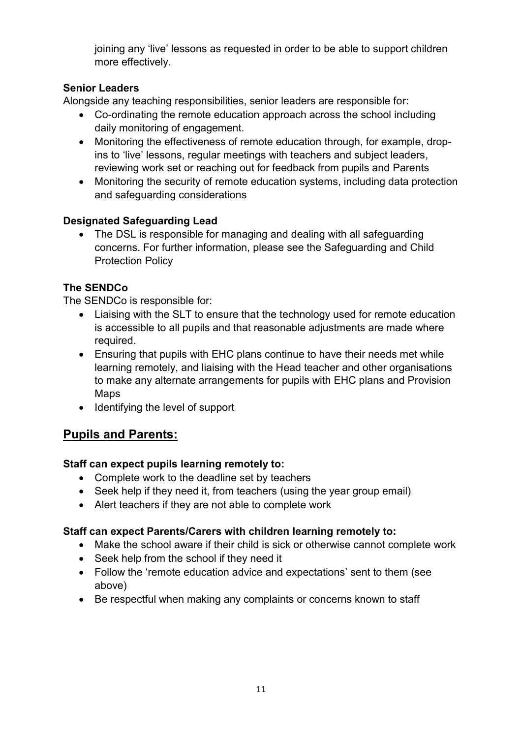joining any 'live' lessons as requested in order to be able to support children more effectively.

# **Senior Leaders**

Alongside any teaching responsibilities, senior leaders are responsible for:

- Co-ordinating the remote education approach across the school including daily monitoring of engagement.
- Monitoring the effectiveness of remote education through, for example, dropins to 'live' lessons, regular meetings with teachers and subject leaders, reviewing work set or reaching out for feedback from pupils and Parents
- Monitoring the security of remote education systems, including data protection and safeguarding considerations

# **Designated Safeguarding Lead**

• The DSL is responsible for managing and dealing with all safeguarding concerns. For further information, please see the Safeguarding and Child Protection Policy

# **The SENDCo**

The SENDCo is responsible for:

- Liaising with the SLT to ensure that the technology used for remote education is accessible to all pupils and that reasonable adjustments are made where required.
- Ensuring that pupils with EHC plans continue to have their needs met while learning remotely, and liaising with the Head teacher and other organisations to make any alternate arrangements for pupils with EHC plans and Provision Maps
- Identifying the level of support

# **Pupils and Parents:**

# **Staff can expect pupils learning remotely to:**

- Complete work to the deadline set by teachers
- Seek help if they need it, from teachers (using the year group email)
- Alert teachers if they are not able to complete work

# **Staff can expect Parents/Carers with children learning remotely to:**

- Make the school aware if their child is sick or otherwise cannot complete work
- Seek help from the school if they need it
- Follow the 'remote education advice and expectations' sent to them (see above)
- Be respectful when making any complaints or concerns known to staff